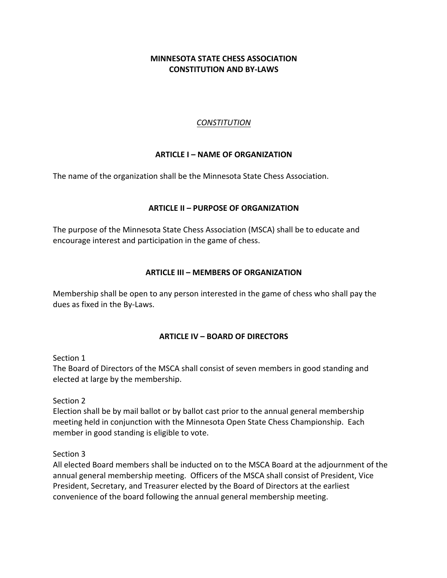# **MINNESOTA STATE CHESS ASSOCIATION CONSTITUTION AND BY-LAWS**

### *CONSTITUTION*

### **ARTICLE I – NAME OF ORGANIZATION**

The name of the organization shall be the Minnesota State Chess Association.

### **ARTICLE II – PURPOSE OF ORGANIZATION**

The purpose of the Minnesota State Chess Association (MSCA) shall be to educate and encourage interest and participation in the game of chess.

### **ARTICLE III – MEMBERS OF ORGANIZATION**

Membership shall be open to any person interested in the game of chess who shall pay the dues as fixed in the By-Laws.

#### **ARTICLE IV – BOARD OF DIRECTORS**

Section 1

The Board of Directors of the MSCA shall consist of seven members in good standing and elected at large by the membership.

Section 2

Election shall be by mail ballot or by ballot cast prior to the annual general membership meeting held in conjunction with the Minnesota Open State Chess Championship. Each member in good standing is eligible to vote.

Section 3

All elected Board members shall be inducted on to the MSCA Board at the adjournment of the annual general membership meeting. Officers of the MSCA shall consist of President, Vice President, Secretary, and Treasurer elected by the Board of Directors at the earliest convenience of the board following the annual general membership meeting.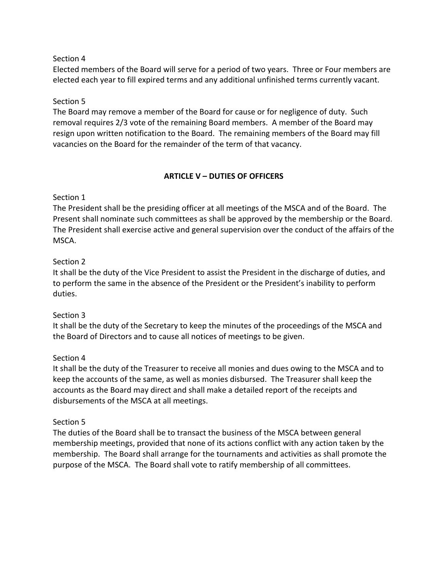### Section 4

Elected members of the Board will serve for a period of two years. Three or Four members are elected each year to fill expired terms and any additional unfinished terms currently vacant.

### Section 5

The Board may remove a member of the Board for cause or for negligence of duty. Such removal requires 2/3 vote of the remaining Board members. A member of the Board may resign upon written notification to the Board. The remaining members of the Board may fill vacancies on the Board for the remainder of the term of that vacancy.

# **ARTICLE V – DUTIES OF OFFICERS**

### Section 1

The President shall be the presiding officer at all meetings of the MSCA and of the Board. The Present shall nominate such committees as shall be approved by the membership or the Board. The President shall exercise active and general supervision over the conduct of the affairs of the MSCA.

### Section 2

It shall be the duty of the Vice President to assist the President in the discharge of duties, and to perform the same in the absence of the President or the President's inability to perform duties.

#### Section 3

It shall be the duty of the Secretary to keep the minutes of the proceedings of the MSCA and the Board of Directors and to cause all notices of meetings to be given.

#### Section 4

It shall be the duty of the Treasurer to receive all monies and dues owing to the MSCA and to keep the accounts of the same, as well as monies disbursed. The Treasurer shall keep the accounts as the Board may direct and shall make a detailed report of the receipts and disbursements of the MSCA at all meetings.

#### Section 5

The duties of the Board shall be to transact the business of the MSCA between general membership meetings, provided that none of its actions conflict with any action taken by the membership. The Board shall arrange for the tournaments and activities as shall promote the purpose of the MSCA. The Board shall vote to ratify membership of all committees.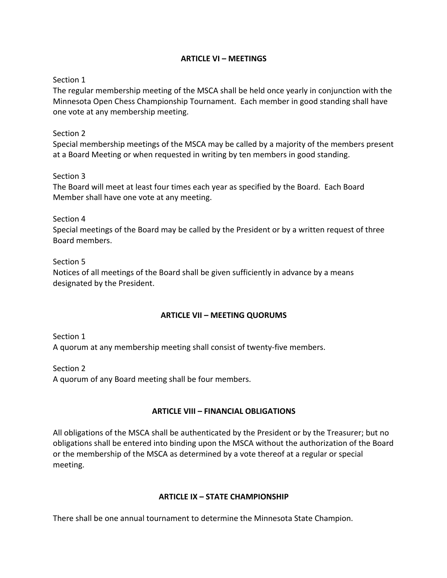### **ARTICLE VI – MEETINGS**

### Section 1

The regular membership meeting of the MSCA shall be held once yearly in conjunction with the Minnesota Open Chess Championship Tournament. Each member in good standing shall have one vote at any membership meeting.

#### Section 2

Special membership meetings of the MSCA may be called by a majority of the members present at a Board Meeting or when requested in writing by ten members in good standing.

### Section 3

The Board will meet at least four times each year as specified by the Board. Each Board Member shall have one vote at any meeting.

Section 4

Special meetings of the Board may be called by the President or by a written request of three Board members.

### Section 5

Notices of all meetings of the Board shall be given sufficiently in advance by a means designated by the President.

## **ARTICLE VII – MEETING QUORUMS**

Section 1 A quorum at any membership meeting shall consist of twenty-five members.

Section 2 A quorum of any Board meeting shall be four members.

## **ARTICLE VIII – FINANCIAL OBLIGATIONS**

All obligations of the MSCA shall be authenticated by the President or by the Treasurer; but no obligations shall be entered into binding upon the MSCA without the authorization of the Board or the membership of the MSCA as determined by a vote thereof at a regular or special meeting.

## **ARTICLE IX – STATE CHAMPIONSHIP**

There shall be one annual tournament to determine the Minnesota State Champion.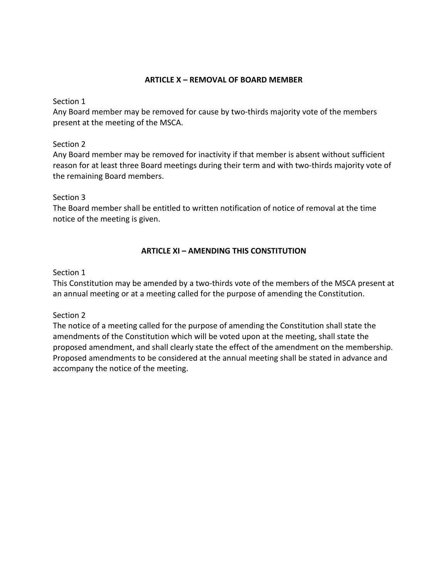### **ARTICLE X – REMOVAL OF BOARD MEMBER**

Section 1

Any Board member may be removed for cause by two-thirds majority vote of the members present at the meeting of the MSCA.

### Section 2

Any Board member may be removed for inactivity if that member is absent without sufficient reason for at least three Board meetings during their term and with two-thirds majority vote of the remaining Board members.

### Section 3

The Board member shall be entitled to written notification of notice of removal at the time notice of the meeting is given.

## **ARTICLE XI – AMENDING THIS CONSTITUTION**

### Section 1

This Constitution may be amended by a two-thirds vote of the members of the MSCA present at an annual meeting or at a meeting called for the purpose of amending the Constitution.

## Section 2

The notice of a meeting called for the purpose of amending the Constitution shall state the amendments of the Constitution which will be voted upon at the meeting, shall state the proposed amendment, and shall clearly state the effect of the amendment on the membership. Proposed amendments to be considered at the annual meeting shall be stated in advance and accompany the notice of the meeting.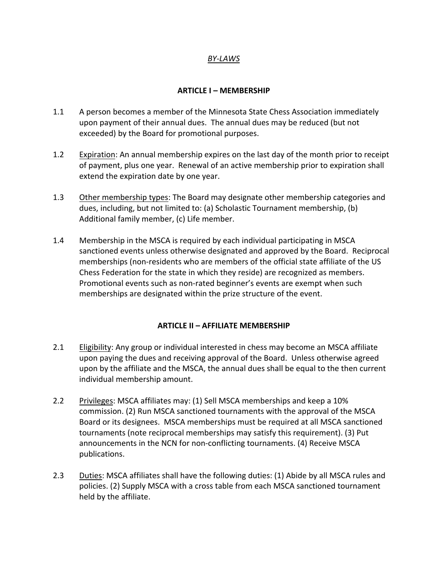## *BY-LAWS*

#### **ARTICLE I – MEMBERSHIP**

- 1.1 A person becomes a member of the Minnesota State Chess Association immediately upon payment of their annual dues. The annual dues may be reduced (but not exceeded) by the Board for promotional purposes.
- 1.2 Expiration: An annual membership expires on the last day of the month prior to receipt of payment, plus one year. Renewal of an active membership prior to expiration shall extend the expiration date by one year.
- 1.3 Other membership types: The Board may designate other membership categories and dues, including, but not limited to: (a) Scholastic Tournament membership, (b) Additional family member, (c) Life member.
- 1.4 Membership in the MSCA is required by each individual participating in MSCA sanctioned events unless otherwise designated and approved by the Board. Reciprocal memberships (non-residents who are members of the official state affiliate of the US Chess Federation for the state in which they reside) are recognized as members. Promotional events such as non-rated beginner's events are exempt when such memberships are designated within the prize structure of the event.

#### **ARTICLE II – AFFILIATE MEMBERSHIP**

- 2.1 Eligibility: Any group or individual interested in chess may become an MSCA affiliate upon paying the dues and receiving approval of the Board. Unless otherwise agreed upon by the affiliate and the MSCA, the annual dues shall be equal to the then current individual membership amount.
- 2.2 Privileges: MSCA affiliates may: (1) Sell MSCA memberships and keep a 10% commission. (2) Run MSCA sanctioned tournaments with the approval of the MSCA Board or its designees. MSCA memberships must be required at all MSCA sanctioned tournaments (note reciprocal memberships may satisfy this requirement). (3) Put announcements in the NCN for non-conflicting tournaments. (4) Receive MSCA publications.
- 2.3 Duties: MSCA affiliates shall have the following duties: (1) Abide by all MSCA rules and policies. (2) Supply MSCA with a cross table from each MSCA sanctioned tournament held by the affiliate.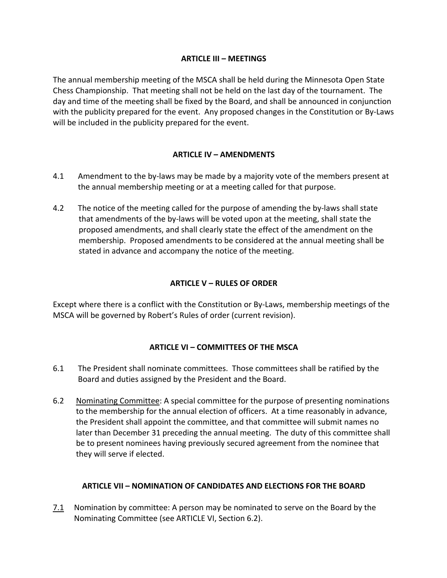### **ARTICLE III – MEETINGS**

The annual membership meeting of the MSCA shall be held during the Minnesota Open State Chess Championship. That meeting shall not be held on the last day of the tournament. The day and time of the meeting shall be fixed by the Board, and shall be announced in conjunction with the publicity prepared for the event. Any proposed changes in the Constitution or By-Laws will be included in the publicity prepared for the event.

## **ARTICLE IV – AMENDMENTS**

- 4.1 Amendment to the by-laws may be made by a majority vote of the members present at the annual membership meeting or at a meeting called for that purpose.
- 4.2 The notice of the meeting called for the purpose of amending the by-laws shall state that amendments of the by-laws will be voted upon at the meeting, shall state the proposed amendments, and shall clearly state the effect of the amendment on the membership. Proposed amendments to be considered at the annual meeting shall be stated in advance and accompany the notice of the meeting.

# **ARTICLE V – RULES OF ORDER**

Except where there is a conflict with the Constitution or By-Laws, membership meetings of the MSCA will be governed by Robert's Rules of order (current revision).

## **ARTICLE VI – COMMITTEES OF THE MSCA**

- 6.1 The President shall nominate committees. Those committees shall be ratified by the Board and duties assigned by the President and the Board.
- 6.2 Nominating Committee: A special committee for the purpose of presenting nominations to the membership for the annual election of officers. At a time reasonably in advance, the President shall appoint the committee, and that committee will submit names no later than December 31 preceding the annual meeting. The duty of this committee shall be to present nominees having previously secured agreement from the nominee that they will serve if elected.

## **ARTICLE VII – NOMINATION OF CANDIDATES AND ELECTIONS FOR THE BOARD**

7.1 Nomination by committee: A person may be nominated to serve on the Board by the Nominating Committee (see ARTICLE VI, Section 6.2).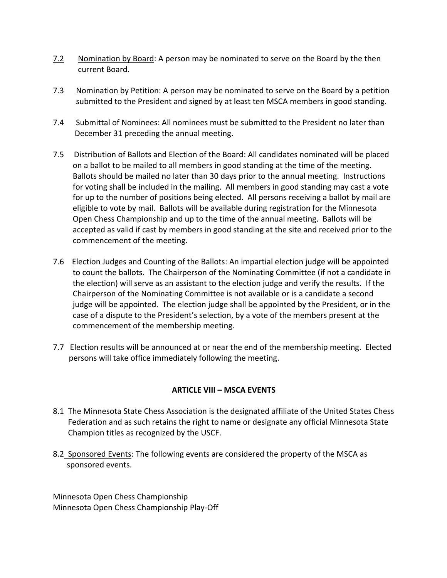- 7.2 Nomination by Board: A person may be nominated to serve on the Board by the then current Board.
- 7.3 Nomination by Petition: A person may be nominated to serve on the Board by a petition submitted to the President and signed by at least ten MSCA members in good standing.
- 7.4 Submittal of Nominees: All nominees must be submitted to the President no later than December 31 preceding the annual meeting.
- 7.5 Distribution of Ballots and Election of the Board: All candidates nominated will be placed on a ballot to be mailed to all members in good standing at the time of the meeting. Ballots should be mailed no later than 30 days prior to the annual meeting. Instructions for voting shall be included in the mailing. All members in good standing may cast a vote for up to the number of positions being elected. All persons receiving a ballot by mail are eligible to vote by mail. Ballots will be available during registration for the Minnesota Open Chess Championship and up to the time of the annual meeting. Ballots will be accepted as valid if cast by members in good standing at the site and received prior to the commencement of the meeting.
- 7.6 Election Judges and Counting of the Ballots: An impartial election judge will be appointed to count the ballots. The Chairperson of the Nominating Committee (if not a candidate in the election) will serve as an assistant to the election judge and verify the results. If the Chairperson of the Nominating Committee is not available or is a candidate a second judge will be appointed. The election judge shall be appointed by the President, or in the case of a dispute to the President's selection, by a vote of the members present at the commencement of the membership meeting.
- 7.7 Election results will be announced at or near the end of the membership meeting. Elected persons will take office immediately following the meeting.

## **ARTICLE VIII - MSCA EVENTS**

- 8.1 The Minnesota State Chess Association is the designated affiliate of the United States Chess Federation and as such retains the right to name or designate any official Minnesota State Champion titles as recognized by the USCF.
- 8.2 Sponsored Events: The following events are considered the property of the MSCA as sponsored events.

Minnesota Open Chess Championship Minnesota Open Chess Championship Play-Off